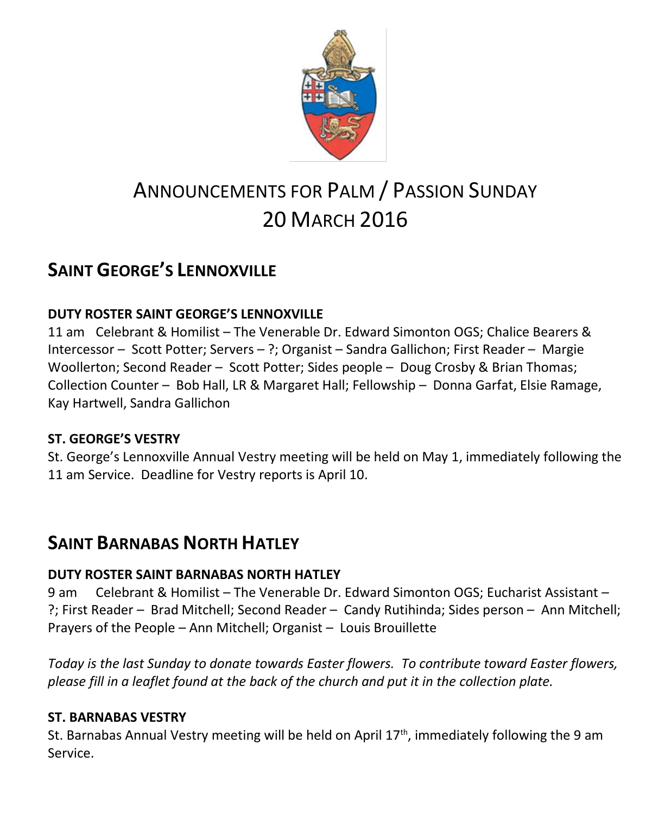

# ANNOUNCEMENTS FOR PALM / PASSION SUNDAY 20 MARCH 2016

## **SAINT GEORGE'S LENNOXVILLE**

### **DUTY ROSTER SAINT GEORGE'S LENNOXVILLE**

11 am Celebrant & Homilist – The Venerable Dr. Edward Simonton OGS; Chalice Bearers & Intercessor – Scott Potter; Servers – ?; Organist – Sandra Gallichon; First Reader – Margie Woollerton; Second Reader – Scott Potter; Sides people – Doug Crosby & Brian Thomas; Collection Counter – Bob Hall, LR & Margaret Hall; Fellowship – Donna Garfat, Elsie Ramage, Kay Hartwell, Sandra Gallichon

### **ST. GEORGE'S VESTRY**

St. George's Lennoxville Annual Vestry meeting will be held on May 1, immediately following the 11 am Service. Deadline for Vestry reports is April 10.

### **SAINT BARNABAS NORTH HATLEY**

### **DUTY ROSTER SAINT BARNABAS NORTH HATLEY**

9 am Celebrant & Homilist – The Venerable Dr. Edward Simonton OGS; Eucharist Assistant – ?; First Reader – Brad Mitchell; Second Reader – Candy Rutihinda; Sides person – Ann Mitchell; Prayers of the People – Ann Mitchell; Organist – Louis Brouillette

*Today is the last Sunday to donate towards Easter flowers. To contribute toward Easter flowers, please fill in a leaflet found at the back of the church and put it in the collection plate.*

### **ST. BARNABAS VESTRY**

St. Barnabas Annual Vestry meeting will be held on April 17<sup>th</sup>, immediately following the 9 am Service.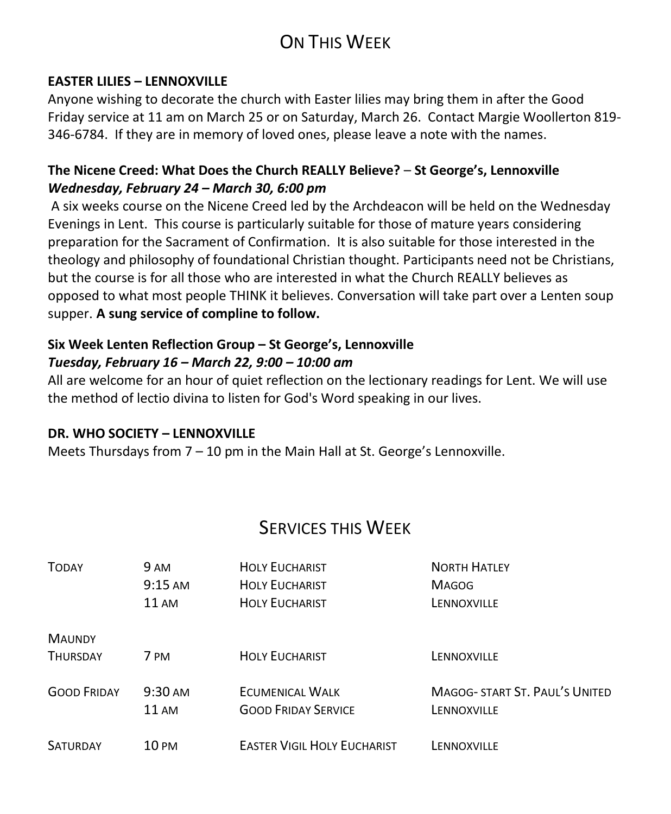## ON THIS WEEK

#### **EASTER LILIES – LENNOXVILLE**

Anyone wishing to decorate the church with Easter lilies may bring them in after the Good Friday service at 11 am on March 25 or on Saturday, March 26. Contact Margie Woollerton 819- 346-6784. If they are in memory of loved ones, please leave a note with the names.

#### **The Nicene Creed: What Does the Church REALLY Believe?** – **St George's, Lennoxville** *Wednesday, February 24 – March 30, 6:00 pm*

A six weeks course on the Nicene Creed led by the Archdeacon will be held on the Wednesday Evenings in Lent. This course is particularly suitable for those of mature years considering preparation for the Sacrament of Confirmation. It is also suitable for those interested in the theology and philosophy of foundational Christian thought. Participants need not be Christians, but the course is for all those who are interested in what the Church REALLY believes as opposed to what most people THINK it believes. Conversation will take part over a Lenten soup supper. **A sung service of compline to follow.**

### **Six Week Lenten Reflection Group – St George's, Lennoxville**  *Tuesday, February 16 – March 22, 9:00 – 10:00 am*

All are welcome for an hour of quiet reflection on the lectionary readings for Lent. We will use the method of lectio divina to listen for God's Word speaking in our lives.

#### **DR. WHO SOCIETY – LENNOXVILLE**

Meets Thursdays from 7 – 10 pm in the Main Hall at St. George's Lennoxville.

### SERVICES THIS WEEK

| <b>TODAY</b>       | 9 AM                       | <b>HOLY EUCHARIST</b>                                | <b>NORTH HATLEY</b>                           |
|--------------------|----------------------------|------------------------------------------------------|-----------------------------------------------|
|                    | $9:15$ AM                  | <b>HOLY EUCHARIST</b>                                | <b>MAGOG</b>                                  |
|                    | <b>11 AM</b>               | <b>HOLY EUCHARIST</b>                                | LENNOXVILLE                                   |
| <b>MAUNDY</b>      |                            |                                                      |                                               |
| <b>THURSDAY</b>    | 7 PM                       | <b>HOLY EUCHARIST</b>                                | LENNOXVILLE                                   |
| <b>GOOD FRIDAY</b> | $9:30 \text{ AM}$<br>11 AM | <b>ECUMENICAL WALK</b><br><b>GOOD FRIDAY SERVICE</b> | MAGOG- START ST. PAUL'S UNITED<br>LENNOXVILLE |
| <b>SATURDAY</b>    | 10 PM                      | <b>EASTER VIGIL HOLY EUCHARIST</b>                   | LENNOXVILLE                                   |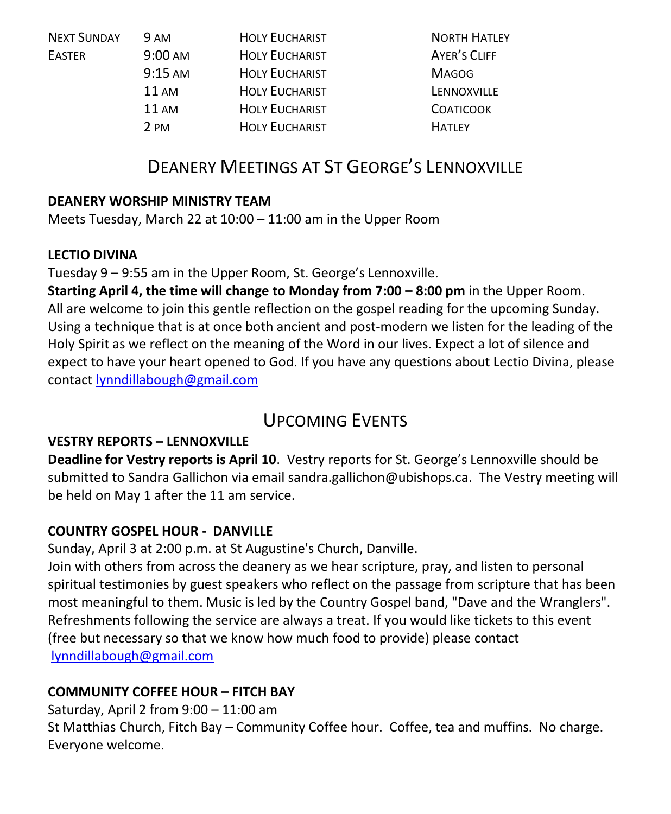| <b>NEXT SUNDAY</b> | <b>9 AM</b>       | <b>HOLY EUCHARIST</b> | <b>NORTH HATLEY</b> |
|--------------------|-------------------|-----------------------|---------------------|
| <b>EASTER</b>      | $9:00 \text{ AM}$ | <b>HOLY EUCHARIST</b> | AYER'S CLIFF        |
|                    | $9:15 \text{ AM}$ | <b>HOLY EUCHARIST</b> | <b>MAGOG</b>        |
|                    | $11 \text{ AM}$   | <b>HOLY EUCHARIST</b> | LENNOXVILLE         |
|                    | 11AM              | <b>HOLY EUCHARIST</b> | <b>COATICOOK</b>    |
|                    | 2 PM              | <b>HOLY EUCHARIST</b> | <b>HATLEY</b>       |

### DEANERY MEETINGS AT ST GEORGE'S LENNOXVILLE

#### **DEANERY WORSHIP MINISTRY TEAM**

Meets Tuesday, March 22 at 10:00 – 11:00 am in the Upper Room

#### **LECTIO DIVINA**

Tuesday 9 – 9:55 am in the Upper Room, St. George's Lennoxville.

**Starting April 4, the time will change to Monday from 7:00 – 8:00 pm in the Upper Room.** All are welcome to join this gentle reflection on the gospel reading for the upcoming Sunday. Using a technique that is at once both ancient and post-modern we listen for the leading of the Holy Spirit as we reflect on the meaning of the Word in our lives. Expect a lot of silence and expect to have your heart opened to God. If you have any questions about Lectio Divina, please contact [lynndillabough@gmail.com](https://webmail.ubishops.ca/owa/redir.aspx?SURL=m9aXLlASBwoWC_8vgLaaljB6q1Irl87Fn9_UzoSznfVlv4HNbE7TCG0AYQBpAGwAdABvADoAbAB5AG4AbgBkAGkAbABsAGEAYgBvAHUAZwBoAEAAZwBtAGEAaQBsAC4AYwBvAG0A&URL=mailto%3alynndillabough%40gmail.com)

### UPCOMING EVENTS

### **VESTRY REPORTS – LENNOXVILLE**

**Deadline for Vestry reports is April 10**. Vestry reports for St. George's Lennoxville should be submitted to Sandra Gallichon via email sandra.gallichon@ubishops.ca. The Vestry meeting will be held on May 1 after the 11 am service.

### **COUNTRY GOSPEL HOUR - DANVILLE**

Sunday, April 3 at 2:00 p.m. at St Augustine's Church, Danville.

Join with others from across the deanery as we hear scripture, pray, and listen to personal spiritual testimonies by guest speakers who reflect on the passage from scripture that has been most meaningful to them. Music is led by the Country Gospel band, "Dave and the Wranglers". Refreshments following the service are always a treat. If you would like tickets to this event (free but necessary so that we know how much food to provide) please contact [lynndillabough@gmail.com](https://webmail.ubishops.ca/owa/redir.aspx?SURL=m9aXLlASBwoWC_8vgLaaljB6q1Irl87Fn9_UzoSznfVlv4HNbE7TCG0AYQBpAGwAdABvADoAbAB5AG4AbgBkAGkAbABsAGEAYgBvAHUAZwBoAEAAZwBtAGEAaQBsAC4AYwBvAG0A&URL=mailto%3alynndillabough%40gmail.com)

### **COMMUNITY COFFEE HOUR – FITCH BAY**

Saturday, April 2 from 9:00 – 11:00 am

St Matthias Church, Fitch Bay – Community Coffee hour. Coffee, tea and muffins. No charge. Everyone welcome.